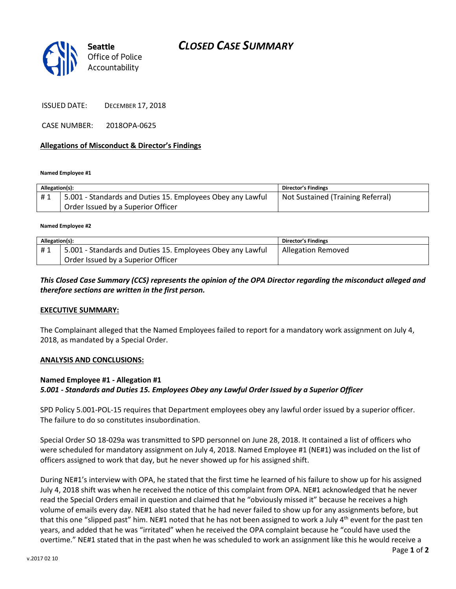# *CLOSED CASE SUMMARY*



### ISSUED DATE: DECEMBER 17, 2018

CASE NUMBER: 2018OPA-0625

### **Allegations of Misconduct & Director's Findings**

**Named Employee #1**

| Allegation(s): |                                                            | Director's Findings               |
|----------------|------------------------------------------------------------|-----------------------------------|
| #1             | 5.001 - Standards and Duties 15. Employees Obey any Lawful | Not Sustained (Training Referral) |
|                | Order Issued by a Superior Officer                         |                                   |

#### **Named Employee #2**

| Allegation(s): |                                                            | <b>Director's Findings</b> |
|----------------|------------------------------------------------------------|----------------------------|
| #1             | 5.001 - Standards and Duties 15. Employees Obey any Lawful | Allegation Removed         |
|                | Order Issued by a Superior Officer                         |                            |

## *This Closed Case Summary (CCS) represents the opinion of the OPA Director regarding the misconduct alleged and therefore sections are written in the first person.*

#### **EXECUTIVE SUMMARY:**

The Complainant alleged that the Named Employees failed to report for a mandatory work assignment on July 4, 2018, as mandated by a Special Order.

#### **ANALYSIS AND CONCLUSIONS:**

## **Named Employee #1 - Allegation #1**

*5.001 - Standards and Duties 15. Employees Obey any Lawful Order Issued by a Superior Officer*

SPD Policy 5.001-POL-15 requires that Department employees obey any lawful order issued by a superior officer. The failure to do so constitutes insubordination.

Special Order SO 18-029a was transmitted to SPD personnel on June 28, 2018. It contained a list of officers who were scheduled for mandatory assignment on July 4, 2018. Named Employee #1 (NE#1) was included on the list of officers assigned to work that day, but he never showed up for his assigned shift.

During NE#1's interview with OPA, he stated that the first time he learned of his failure to show up for his assigned July 4, 2018 shift was when he received the notice of this complaint from OPA. NE#1 acknowledged that he never read the Special Orders email in question and claimed that he "obviously missed it" because he receives a high volume of emails every day. NE#1 also stated that he had never failed to show up for any assignments before, but that this one "slipped past" him. NE#1 noted that he has not been assigned to work a July  $4^{th}$  event for the past ten years, and added that he was "irritated" when he received the OPA complaint because he "could have used the overtime." NE#1 stated that in the past when he was scheduled to work an assignment like this he would receive a